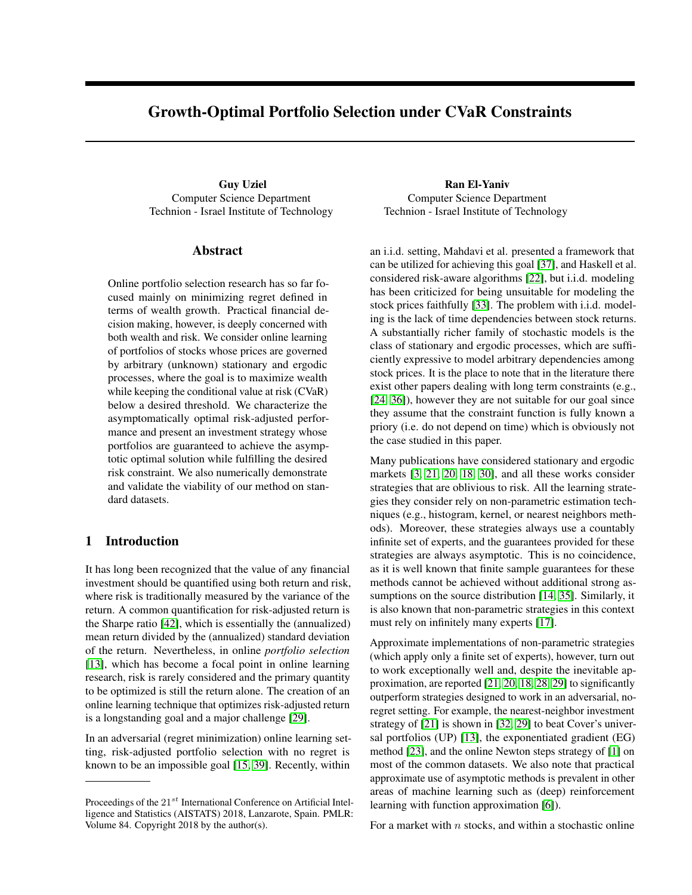# Growth-Optimal Portfolio Selection under CVaR Constraints

Guy Uziel **Ran El-Yaniv** Computer Science Department Technion - Israel Institute of Technology

#### Abstract

Online portfolio selection research has so far focused mainly on minimizing regret defined in terms of wealth growth. Practical financial decision making, however, is deeply concerned with both wealth and risk. We consider online learning of portfolios of stocks whose prices are governed by arbitrary (unknown) stationary and ergodic processes, where the goal is to maximize wealth while keeping the conditional value at risk (CVaR) below a desired threshold. We characterize the asymptomatically optimal risk-adjusted performance and present an investment strategy whose portfolios are guaranteed to achieve the asymptotic optimal solution while fulfilling the desired risk constraint. We also numerically demonstrate and validate the viability of our method on standard datasets.

### 1 Introduction

It has long been recognized that the value of any financial investment should be quantified using both return and risk, where risk is traditionally measured by the variance of the return. A common quantification for risk-adjusted return is the Sharpe ratio [\[42\]](#page-9-0), which is essentially the (annualized) mean return divided by the (annualized) standard deviation of the return. Nevertheless, in online *portfolio selection* [\[13\]](#page-8-0), which has become a focal point in online learning research, risk is rarely considered and the primary quantity to be optimized is still the return alone. The creation of an online learning technique that optimizes risk-adjusted return is a longstanding goal and a major challenge [\[29\]](#page-9-1).

In an adversarial (regret minimization) online learning setting, risk-adjusted portfolio selection with no regret is known to be an impossible goal [\[15,](#page-8-1) [39\]](#page-9-2). Recently, within

Computer Science Department Technion - Israel Institute of Technology

an i.i.d. setting, Mahdavi et al. presented a framework that can be utilized for achieving this goal [\[37\]](#page-9-3), and Haskell et al. considered risk-aware algorithms [\[22\]](#page-8-2), but i.i.d. modeling has been criticized for being unsuitable for modeling the stock prices faithfully [\[33\]](#page-9-4). The problem with i.i.d. modeling is the lack of time dependencies between stock returns. A substantially richer family of stochastic models is the class of stationary and ergodic processes, which are sufficiently expressive to model arbitrary dependencies among stock prices. It is the place to note that in the literature there exist other papers dealing with long term constraints (e.g., [\[24,](#page-8-3) [36\]](#page-9-5)), however they are not suitable for our goal since they assume that the constraint function is fully known a priory (i.e. do not depend on time) which is obviously not the case studied in this paper.

Many publications have considered stationary and ergodic markets [\[3,](#page-8-4) [21,](#page-8-5) [20,](#page-8-6) [18,](#page-8-7) [30\]](#page-9-6), and all these works consider strategies that are oblivious to risk. All the learning strategies they consider rely on non-parametric estimation techniques (e.g., histogram, kernel, or nearest neighbors methods). Moreover, these strategies always use a countably infinite set of experts, and the guarantees provided for these strategies are always asymptotic. This is no coincidence, as it is well known that finite sample guarantees for these methods cannot be achieved without additional strong as-sumptions on the source distribution [\[14,](#page-8-8) [35\]](#page-9-7). Similarly, it is also known that non-parametric strategies in this context must rely on infinitely many experts [\[17\]](#page-8-9).

Approximate implementations of non-parametric strategies (which apply only a finite set of experts), however, turn out to work exceptionally well and, despite the inevitable approximation, are reported [\[21,](#page-8-5) [20,](#page-8-6) [18,](#page-8-7) [28,](#page-9-8) [29\]](#page-9-1) to significantly outperform strategies designed to work in an adversarial, noregret setting. For example, the nearest-neighbor investment strategy of [\[21\]](#page-8-5) is shown in [\[32,](#page-9-9) [29\]](#page-9-1) to beat Cover's universal portfolios (UP) [\[13\]](#page-8-0), the exponentiated gradient (EG) method [\[23\]](#page-8-10), and the online Newton steps strategy of [\[1\]](#page-8-11) on most of the common datasets. We also note that practical approximate use of asymptotic methods is prevalent in other areas of machine learning such as (deep) reinforcement learning with function approximation [\[6\]](#page-8-12)).

For a market with  $n$  stocks, and within a stochastic online

Proceedings of the  $21^{st}$  International Conference on Artificial Intelligence and Statistics (AISTATS) 2018, Lanzarote, Spain. PMLR: Volume 84. Copyright 2018 by the author(s).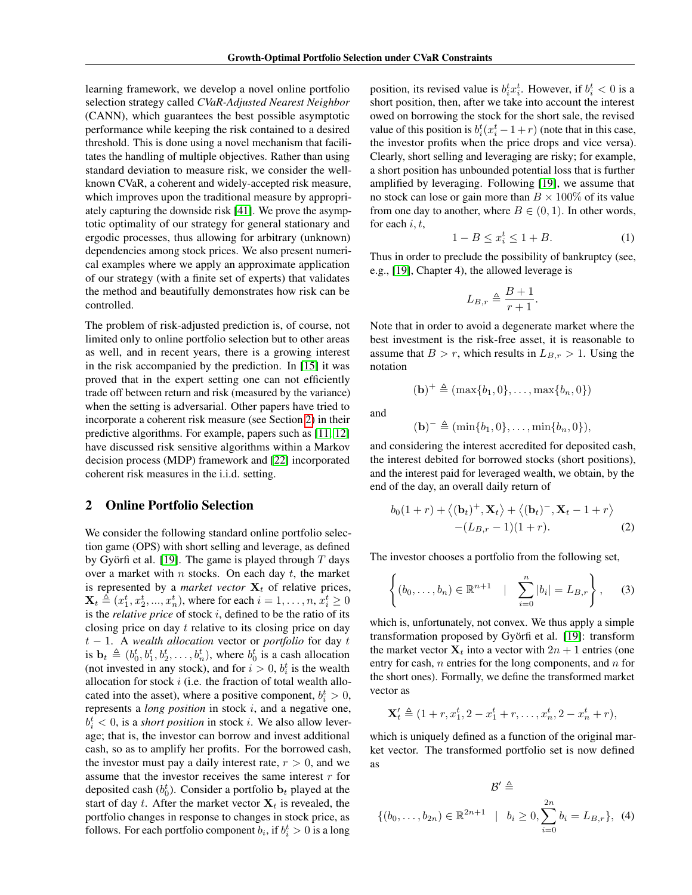learning framework, we develop a novel online portfolio selection strategy called *CVaR-Adjusted Nearest Neighbor* (CANN), which guarantees the best possible asymptotic performance while keeping the risk contained to a desired threshold. This is done using a novel mechanism that facilitates the handling of multiple objectives. Rather than using standard deviation to measure risk, we consider the wellknown CVaR, a coherent and widely-accepted risk measure, which improves upon the traditional measure by appropriately capturing the downside risk [\[41\]](#page-9-10). We prove the asymptotic optimality of our strategy for general stationary and ergodic processes, thus allowing for arbitrary (unknown) dependencies among stock prices. We also present numerical examples where we apply an approximate application of our strategy (with a finite set of experts) that validates the method and beautifully demonstrates how risk can be controlled.

The problem of risk-adjusted prediction is, of course, not limited only to online portfolio selection but to other areas as well, and in recent years, there is a growing interest in the risk accompanied by the prediction. In [\[15\]](#page-8-1) it was proved that in the expert setting one can not efficiently trade off between return and risk (measured by the variance) when the setting is adversarial. Other papers have tried to incorporate a coherent risk measure (see Section [2\)](#page-1-0) in their predictive algorithms. For example, papers such as [\[11,](#page-8-13) [12\]](#page-8-14) have discussed risk sensitive algorithms within a Markov decision process (MDP) framework and [\[22\]](#page-8-2) incorporated coherent risk measures in the i.i.d. setting.

#### <span id="page-1-0"></span>2 Online Portfolio Selection

We consider the following standard online portfolio selection game (OPS) with short selling and leverage, as defined by Györfi et al. [\[19\]](#page-8-15). The game is played through  $T$  days over a market with  $n$  stocks. On each day  $t$ , the market is represented by a *market vector*  $X_t$  of relative prices,  $\mathbf{X}_t \triangleq (x_1^t, x_2^t, ..., x_n^t)$ , where for each  $i = 1, ..., n$ ,  $x_i^t \geq 0$ is the *relative price* of stock i, defined to be the ratio of its closing price on day t relative to its closing price on day t − 1. A *wealth allocation* vector or *portfolio* for day t is  $\mathbf{b}_t \triangleq (b_0^t, b_1^t, b_2^t, \dots, b_n^t)$ , where  $b_0^t$  is a cash allocation (not invested in any stock), and for  $i > 0$ ,  $b_i^t$  is the wealth allocation for stock  $i$  (i.e. the fraction of total wealth allocated into the asset), where a positive component,  $b_i^t > 0$ , represents a *long position* in stock i, and a negative one,  $b_i^t$  < 0, is a *short position* in stock *i*. We also allow leverage; that is, the investor can borrow and invest additional cash, so as to amplify her profits. For the borrowed cash, the investor must pay a daily interest rate,  $r > 0$ , and we assume that the investor receives the same interest  $r$  for deposited cash  $(b_0^t)$ . Consider a portfolio  $\mathbf{b}_t$  played at the start of day t. After the market vector  $X_t$  is revealed, the portfolio changes in response to changes in stock price, as follows. For each portfolio component  $b_i$ , if  $b_i^t > 0$  is a long

position, its revised value is  $b_i^t x_i^t$ . However, if  $b_i^t < 0$  is a short position, then, after we take into account the interest owed on borrowing the stock for the short sale, the revised value of this position is  $b_i^t(x_i^t - 1 + r)$  (note that in this case, the investor profits when the price drops and vice versa). Clearly, short selling and leveraging are risky; for example, a short position has unbounded potential loss that is further amplified by leveraging. Following [\[19\]](#page-8-15), we assume that no stock can lose or gain more than  $B \times 100\%$  of its value from one day to another, where  $B \in (0, 1)$ . In other words, for each  $i, t$ ,

<span id="page-1-1"></span>
$$
1 - B \le x_i^t \le 1 + B. \tag{1}
$$

Thus in order to preclude the possibility of bankruptcy (see, e.g., [\[19\]](#page-8-15), Chapter 4), the allowed leverage is

$$
L_{B,r} \triangleq \frac{B+1}{r+1}.
$$

Note that in order to avoid a degenerate market where the best investment is the risk-free asset, it is reasonable to assume that  $B > r$ , which results in  $L_{B,r} > 1$ . Using the notation

$$
(\mathbf{b})^+\triangleq(\max\{b_1,0\},\ldots,\max\{b_n,0\})
$$

and

$$
(b)- \triangleq (\min{b_1, 0}, \ldots, \min{b_n, 0}),
$$

and considering the interest accredited for deposited cash, the interest debited for borrowed stocks (short positions), and the interest paid for leveraged wealth, we obtain, by the end of the day, an overall daily return of

$$
b_0(1+r) + \langle (\mathbf{b}_t)^+, \mathbf{X}_t \rangle + \langle (\mathbf{b}_t)^-, \mathbf{X}_t - 1 + r \rangle
$$
  
-(L\_{B,r} - 1)(1+r). (2)

The investor chooses a portfolio from the following set,

$$
\left\{(b_0,\ldots,b_n)\in\mathbb{R}^{n+1}\mid \sum_{i=0}^n|b_i|=L_{B,r}\right\},\qquad(3)
$$

which is, unfortunately, not convex. We thus apply a simple transformation proposed by Györfi et al. [\[19\]](#page-8-15): transform the market vector  $X_t$  into a vector with  $2n + 1$  entries (one entry for cash,  $n$  entries for the long components, and  $n$  for the short ones). Formally, we define the transformed market vector as

$$
\mathbf{X}'_t \triangleq (1+r, x_1^t, 2-x_1^t+r, \dots, x_n^t, 2-x_n^t+r),
$$

which is uniquely defined as a function of the original market vector. The transformed portfolio set is now defined as

$$
\mathcal{B}' \triangleq
$$
  

$$
\{(b_0, \ldots, b_{2n}) \in \mathbb{R}^{2n+1} \mid b_i \ge 0, \sum_{i=0}^{2n} b_i = L_{B,r}\}, (4)
$$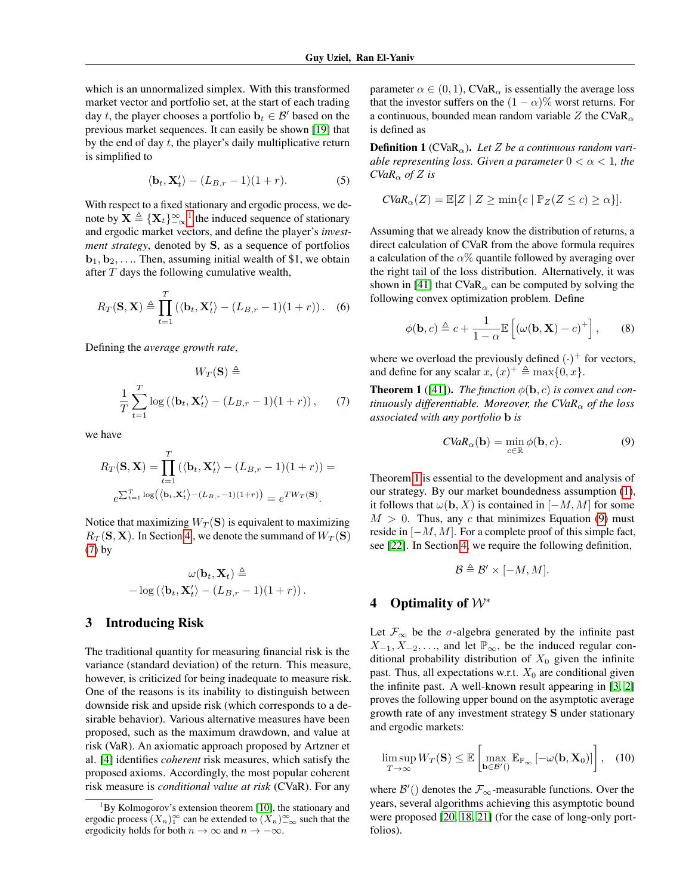which is an unnormalized simplex. With this transformed market vector and portfolio set, at the start of each trading day t, the player chooses a portfolio  $\mathbf{b}_t \in \mathcal{B}'$  based on the previous market sequences. It can easily be shown [\[19\]](#page-8-15) that by the end of day  $t$ , the player's daily multiplicative return is simplified to

$$
\langle \mathbf{b}_t, \mathbf{X}'_t \rangle - (L_{B,r} - 1)(1+r). \tag{5}
$$

With respect to a fixed stationary and ergodic process, we denote by  $\mathbf{X} \triangleq {\{\mathbf{X}_t\}}_{-\infty}^{\infty}$ <sup>[1](#page-2-0)</sup> the induced sequence of stationary and ergodic market vectors, and define the player's *investment strategy*, denoted by S, as a sequence of portfolios  **Then, assuming initial wealth of \$1, we obtain** after  $T$  days the following cumulative wealth,

$$
R_T(\mathbf{S}, \mathbf{X}) \triangleq \prod_{t=1}^T (\langle \mathbf{b}_t, \mathbf{X}_t' \rangle - (L_{B,r} - 1)(1+r)). \quad (6)
$$

Defining the *average growth rate*,

$$
W_T(\mathbf{S}) \triangleq
$$
  

$$
\frac{1}{T} \sum_{t=1}^T \log \left( \langle \mathbf{b}_t, \mathbf{X}_t' \rangle - (L_{B,r} - 1)(1+r) \right), \quad (7)
$$

we have

$$
R_T(\mathbf{S}, \mathbf{X}) = \prod_{t=1}^T (\langle \mathbf{b}_t, \mathbf{X}_t' \rangle - (L_{B,r} - 1)(1+r)) =
$$
  

$$
e^{\sum_{t=1}^T \log(\langle \mathbf{b}_t, \mathbf{X}_t' \rangle - (L_{B,r} - 1)(1+r))} = e^{TW_T(\mathbf{S})}.
$$

Notice that maximizing  $W_T(S)$  is equivalent to maximizing  $R_T(\mathbf{S}, \mathbf{X})$ . In Section [4](#page-2-1), we denote the summand of  $W_T(\mathbf{S})$ [\(7\)](#page-2-2) by

$$
\omega(\mathbf{b}_t, \mathbf{X}_t) \triangleq -\log\left(\langle \mathbf{b}_t, \mathbf{X}'_t \rangle - (L_{B,r} - 1)(1+r)\right).
$$

### 3 Introducing Risk

The traditional quantity for measuring financial risk is the variance (standard deviation) of the return. This measure, however, is criticized for being inadequate to measure risk. One of the reasons is its inability to distinguish between downside risk and upside risk (which corresponds to a desirable behavior). Various alternative measures have been proposed, such as the maximum drawdown, and value at risk (VaR). An axiomatic approach proposed by Artzner et al. [\[4\]](#page-8-16) identifies *coherent* risk measures, which satisfy the proposed axioms. Accordingly, the most popular coherent risk measure is *conditional value at risk* (CVaR). For any

parameter  $\alpha \in (0, 1)$ , CVaR<sub> $\alpha$ </sub> is essentially the average loss that the investor suffers on the  $(1 - \alpha)$ % worst returns. For a continuous, bounded mean random variable Z the CVaR<sub> $\alpha$ </sub> is defined as

**Definition 1** (CVaR<sub> $\alpha$ </sub>). Let Z be a continuous random vari*able representing loss. Given a parameter*  $0 < \alpha < 1$ *, the CVaR*<sup>α</sup> *of* Z *is*

$$
CVaR_{\alpha}(Z) = \mathbb{E}[Z \mid Z \ge \min\{c \mid \mathbb{P}_Z(Z \le c) \ge \alpha\}].
$$

Assuming that we already know the distribution of returns, a direct calculation of CVaR from the above formula requires a calculation of the  $\alpha$ % quantile followed by averaging over the right tail of the loss distribution. Alternatively, it was shown in [\[41\]](#page-9-10) that  $CVaR_{\alpha}$  can be computed by solving the following convex optimization problem. Define

$$
\phi(\mathbf{b},c) \triangleq c + \frac{1}{1-\alpha} \mathbb{E}\left[\left(\omega(\mathbf{b}, \mathbf{X}) - c\right)^+\right],\qquad(8)
$$

where we overload the previously defined  $(\cdot)^+$  for vectors, and define for any scalar  $x, (x)^{+} \triangleq \max\{0, x\}.$ 

<span id="page-2-3"></span><span id="page-2-2"></span>**Theorem 1** ([\[41\]](#page-9-10)). *The function*  $\phi(\mathbf{b}, c)$  *is convex and continuously differentiable. Moreover, the CVaR*<sub> $\alpha$ </sub> *of the loss associated with any portfolio* b *is*

<span id="page-2-4"></span>
$$
CVaR_{\alpha}(\mathbf{b}) = \min_{c \in \mathbb{R}} \phi(\mathbf{b}, c).
$$
 (9)

Theorem [1](#page-2-3) is essential to the development and analysis of our strategy. By our market boundedness assumption [\(1\)](#page-1-1), it follows that  $\omega(\mathbf{b}, X)$  is contained in  $[-M, M]$  for some  $M > 0$ . Thus, any c that minimizes Equation [\(9\)](#page-2-4) must reside in  $[-M, M]$ . For a complete proof of this simple fact, see [\[22\]](#page-8-2). In Section [4,](#page-2-1) we require the following definition,

$$
\mathcal{B} \triangleq \mathcal{B}' \times [-M, M].
$$

### <span id="page-2-1"></span>4 Optimality of  $W^*$

Let  $\mathcal{F}_{\infty}$  be the  $\sigma$ -algebra generated by the infinite past  $X_{-1}, X_{-2}, \ldots$ , and let  $\mathbb{P}_{\infty}$ , be the induced regular conditional probability distribution of  $X_0$  given the infinite past. Thus, all expectations w.r.t.  $X_0$  are conditional given the infinite past. A well-known result appearing in [\[3,](#page-8-4) [2\]](#page-8-18) proves the following upper bound on the asymptotic average growth rate of any investment strategy S under stationary and ergodic markets:

$$
\limsup_{T \to \infty} W_T(\mathbf{S}) \leq \mathbb{E} \left[ \max_{\mathbf{b} \in \mathcal{B}'(\mathcal{C})} \mathbb{E}_{\mathbb{P}_{\infty}} \left[ -\omega(\mathbf{b}, \mathbf{X}_0) \right] \right], \quad (10)
$$

where  $\mathcal{B}'()$  denotes the  $\mathcal{F}_{\infty}$ -measurable functions. Over the years, several algorithms achieving this asymptotic bound were proposed [\[20,](#page-8-6) [18,](#page-8-7) [21\]](#page-8-5) (for the case of long-only portfolios).

<span id="page-2-0"></span> ${}^{1}$ By Kolmogorov's extension theorem [\[10\]](#page-8-17), the stationary and ergodic process  $(X_n)_1^{\infty}$  can be extended to  $(X_n)_{-\infty}^{\infty}$  such that the ergodicity holds for both  $n \to \infty$  and  $n \to -\infty$ .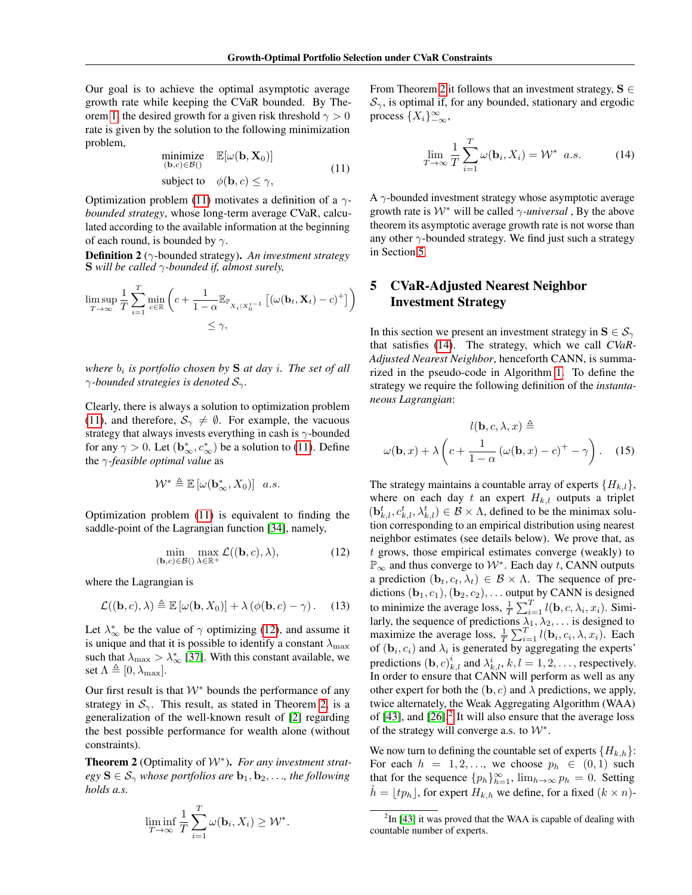Our goal is to achieve the optimal asymptotic average growth rate while keeping the CVaR bounded. By The-orem [1,](#page-2-3) the desired growth for a given risk threshold  $\gamma > 0$ rate is given by the solution to the following minimization problem,

<span id="page-3-0"></span>minimize 
$$
\mathbb{E}[\omega(\mathbf{b}, \mathbf{X}_0)]
$$
  
\n( $\mathbf{b}, c$ )  $\in \mathcal{B}$ )(11)  
\nsubject to  $\phi(\mathbf{b}, c) \le \gamma$ ,

Optimization problem [\(11\)](#page-3-0) motivates a definition of a γ*bounded strategy*, whose long-term average CVaR, calculated according to the available information at the beginning of each round, is bounded by  $\gamma$ .

Definition 2 (γ-bounded strategy). *An investment strategy* S *will be called* γ*-bounded if, almost surely,*

$$
\limsup_{T \to \infty} \frac{1}{T} \sum_{i=1}^{T} \min_{c \in \mathbb{R}} \left( c + \frac{1}{1 - \alpha} \mathbb{E}_{\mathbb{P}_{X_i | X_0^{i-1}}} \left[ (\omega(\mathbf{b}_t, \mathbf{X}_t) - c)^+ \right] \right)
$$
  

$$
\leq \gamma,
$$

*where*  $b_i$  *is portfolio chosen by* **S** *at day i*. The set of all γ*-bounded strategies is denoted* Sγ*.*

Clearly, there is always a solution to optimization problem [\(11\)](#page-3-0), and therefore,  $S_{\gamma} \neq \emptyset$ . For example, the vacuous strategy that always invests everything in cash is  $\gamma$ -bounded for any  $\gamma > 0$ . Let  $(\mathbf{b}_{\infty}^*, c_{\infty}^*)$  be a solution to [\(11\)](#page-3-0). Define the γ*-feasible optimal value* as

$$
\mathcal{W}^* \triangleq \mathbb{E}\left[\omega(\mathbf{b}^*_{\infty}, X_0)\right] \ a.s.
$$

Optimization problem [\(11\)](#page-3-0) is equivalent to finding the saddle-point of the Lagrangian function [\[34\]](#page-9-11), namely,

$$
\min_{(\mathbf{b},c)\in\mathcal{B}(\lambda)\in\mathbb{R}^+} \max_{\lambda\in\mathbb{R}^+} \mathcal{L}((\mathbf{b},c),\lambda),\tag{12}
$$

where the Lagrangian is

$$
\mathcal{L}((\mathbf{b},c),\lambda) \triangleq \mathbb{E}\left[\omega(\mathbf{b},X_0)\right] + \lambda\left(\phi(\mathbf{b},c)-\gamma\right). \tag{13}
$$

Let  $\lambda_{\infty}^{*}$  be the value of  $\gamma$  optimizing [\(12\)](#page-3-1), and assume it is unique and that it is possible to identify a constant  $\lambda_{\text{max}}$ such that  $\lambda_{\text{max}} > \lambda_{\infty}^{*}$  [\[37\]](#page-9-3). With this constant available, we set  $\Lambda \triangleq [0, \lambda_{\text{max}}].$ 

Our first result is that  $W^*$  bounds the performance of any strategy in  $S_{\gamma}$ . This result, as stated in Theorem [2,](#page-3-2) is a generalization of the well-known result of [\[2\]](#page-8-18) regarding the best possible performance for wealth alone (without constraints).

<span id="page-3-2"></span>Theorem 2 (Optimality of W<sup>∗</sup> ). *For any investment strategy*  $S \in S_{\gamma}$  *whose portfolios are*  $b_1, b_2, \ldots$ *, the following holds a.s.*

$$
\liminf_{T \to \infty} \frac{1}{T} \sum_{i=1}^{T} \omega(\mathbf{b}_i, X_i) \ge \mathcal{W}^*
$$

.

From Theorem [2](#page-3-2) it follows that an investment strategy,  $S \in$  $\mathcal{S}_{\gamma}$ , is optimal if, for any bounded, stationary and ergodic process  $\{X_i\}_{-\infty}^{\infty}$ ,

<span id="page-3-4"></span>
$$
\lim_{T \to \infty} \frac{1}{T} \sum_{i=1}^{T} \omega(\mathbf{b}_i, X_i) = \mathcal{W}^* \quad a.s.
$$
 (14)

A  $\gamma$ -bounded investment strategy whose asymptotic average growth rate is  $W^*$  will be called  $\gamma$ -universal, By the above theorem its asymptotic average growth rate is not worse than any other  $\gamma$ -bounded strategy. We find just such a strategy in Section [5.](#page-3-3)

### <span id="page-3-3"></span>5 CVaR-Adjusted Nearest Neighbor Investment Strategy

In this section we present an investment strategy in  $S \in \mathcal{S}_{\gamma}$ that satisfies [\(14\)](#page-3-4). The strategy, which we call *CVaR-Adjusted Nearest Neighbor*, henceforth CANN, is summarized in the pseudo-code in Algorithm [1.](#page-4-0) To define the strategy we require the following definition of the *instantaneous Lagrangian*:

$$
l(\mathbf{b}, c, \lambda, x) \triangleq
$$

$$
\omega(\mathbf{b}, x) + \lambda \left( c + \frac{1}{1 - \alpha} \left( \omega(\mathbf{b}, x) - c \right)^{+} - \gamma \right). \quad (15)
$$

<span id="page-3-6"></span><span id="page-3-1"></span>The strategy maintains a countable array of experts  $\{H_{k,l}\},$ where on each day t an expert  $H_{k,l}$  outputs a triplet  $(\mathbf{b}_{k,l}^t, c_{k,l}^t, \lambda_{k,l}^t) \in \mathcal{B} \times \Lambda$ , defined to be the minimax solution corresponding to an empirical distribution using nearest neighbor estimates (see details below). We prove that, as t grows, those empirical estimates converge (weakly) to  $\mathbb{P}_{\infty}$  and thus converge to  $\mathcal{W}^*$ . Each day t, CANN outputs a prediction  $(\mathbf{b}_t, c_t, \lambda_t) \in \mathcal{B} \times \Lambda$ . The sequence of predictions  $(\mathbf{b}_1, c_1), (\mathbf{b}_2, c_2), \dots$  output by CANN is designed to minimize the average loss,  $\frac{1}{T} \sum_{i=1}^{T} l(\mathbf{b}, c, \lambda_i, x_i)$ . Similarly, the sequence of predictions  $\lambda_1, \lambda_2, \ldots$  is designed to maximize the average loss,  $\frac{1}{T} \sum_{i=1}^{T} l(\mathbf{b}_i, c_i, \lambda, x_i)$ . Each of  $(b_i, c_i)$  and  $\lambda_i$  is generated by aggregating the experts' predictions  $(\mathbf{b}, c)_{k,l}^i$  and  $\lambda_{k,l}^i$ ,  $k, l = 1, 2, \dots$ , respectively. In order to ensure that CANN will perform as well as any other expert for both the  $(b, c)$  and  $\lambda$  predictions, we apply, twice alternately, the Weak Aggregating Algorithm (WAA) of  $[43]$ , and  $[26]$ <sup>[2](#page-3-5)</sup>. It will also ensure that the average loss of the strategy will converge a.s. to  $W^*$ .

We now turn to defining the countable set of experts  $\{H_{k,h}\}$ : For each  $h = 1, 2, \ldots$ , we choose  $p_h \in (0, 1)$  such that for the sequence  ${p_h}_{h=1}^{\infty}$ ,  $\lim_{h\to\infty} p_h = 0$ . Setting  $h = \lfloor tp_h \rfloor$ , for expert  $H_{k,h}$  we define, for a fixed  $(k \times n)$ -

<span id="page-3-5"></span> $2$ In [\[43\]](#page-9-12) it was proved that the WAA is capable of dealing with countable number of experts.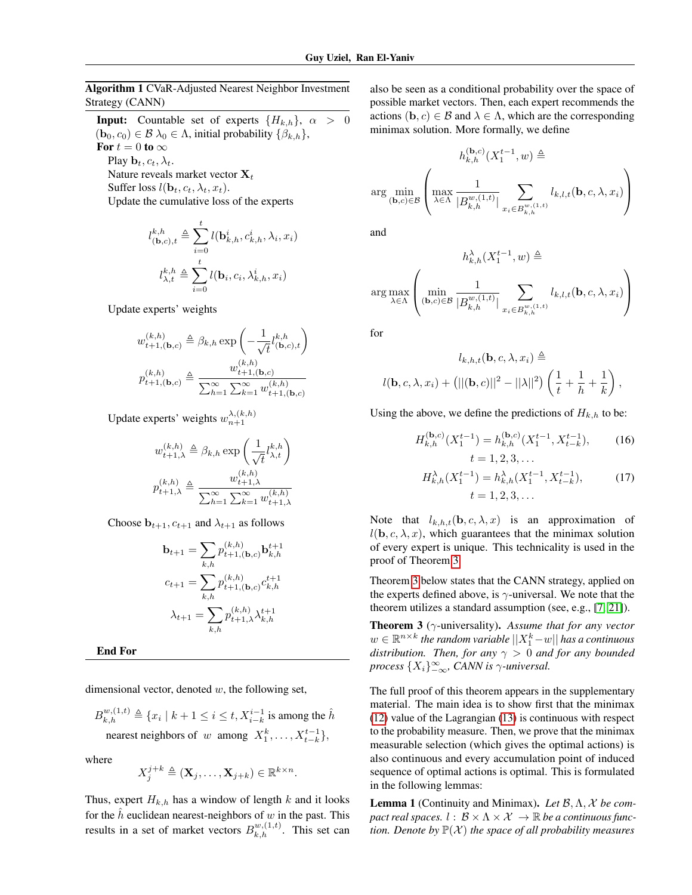<span id="page-4-0"></span>Algorithm 1 CVaR-Adjusted Nearest Neighbor Investment Strategy (CANN)

**Input:** Countable set of experts  ${H_{k,h}}$ ,  $\alpha > 0$  $(b_0, c_0) \in \mathcal{B} \lambda_0 \in \Lambda$ , initial probability  $\{\beta_{k,h}\},\$ For  $t = 0$  to  $\infty$ Play  $\mathbf{b}_t, c_t, \lambda_t$ . Nature reveals market vector  $X_t$ Suffer loss  $l(\mathbf{b}_t, c_t, \lambda_t, x_t)$ .

Update the cumulative loss of the experts

$$
l_{(\mathbf{b},c),t}^{k,h} \triangleq \sum_{i=0}^{t} l(\mathbf{b}_{k,h}^{i}, c_{k,h}^{i}, \lambda_{i}, x_{i})
$$

$$
l_{\lambda,t}^{k,h} \triangleq \sum_{i=0}^{t} l(\mathbf{b}_{i}, c_{i}, \lambda_{k,h}^{i}, x_{i})
$$

Update experts' weights

$$
w_{t+1,(\mathbf{b},c)}^{(k,h)} \triangleq \beta_{k,h} \exp\left(-\frac{1}{\sqrt{t}} l_{(\mathbf{b},c),t}^{k,h}\right)
$$

$$
p_{t+1,(\mathbf{b},c)}^{(k,h)} \triangleq \frac{w_{t+1,(\mathbf{b},c)}^{(k,h)}}{\sum_{h=1}^{\infty} \sum_{k=1}^{\infty} w_{t+1,(\mathbf{b},c)}^{(k,h)}}
$$

Update experts' weights  $w_{n+1}^{\lambda,(k,h)}$ 

$$
w_{t+1,\lambda}^{(k,h)} \triangleq \beta_{k,h} \exp\left(\frac{1}{\sqrt{t}} l_{\lambda,t}^{k,h}\right)
$$

$$
p_{t+1,\lambda}^{(k,h)} \triangleq \frac{w_{t+1,\lambda}^{(k,h)}}{\sum_{h=1}^{\infty} \sum_{k=1}^{\infty} w_{t+1,\lambda}^{(k,h)}}
$$

Choose  $\mathbf{b}_{t+1}, c_{t+1}$  and  $\lambda_{t+1}$  as follows

$$
\mathbf{b}_{t+1} = \sum_{k,h} p_{t+1,(b,c)}^{(k,h)} \mathbf{b}_{k,h}^{t+1}
$$

$$
c_{t+1} = \sum_{k,h} p_{t+1,(b,c)}^{(k,h)} c_{k,h}^{t+1}
$$

$$
\lambda_{t+1} = \sum_{k,h} p_{t+1,\lambda}^{(k,h)} \lambda_{k,h}^{t+1}
$$

End For

dimensional vector, denoted  $w$ , the following set,

 $B_{k,h}^{w,(1,t)} \triangleq \{x_i \mid k+1 \leq i \leq t, X_{i-k}^{i-1} \text{ is among the } \hat{h} \}$ nearest neighbors of w among  $X_1^k, \ldots, X_{t-k}^{t-1}$ ,

where

$$
X_j^{j+k} \triangleq (\mathbf{X}_j, \dots, \mathbf{X}_{j+k}) \in \mathbb{R}^{k \times n}.
$$

Thus, expert  $H_{k,h}$  has a window of length k and it looks for the  $\hat{h}$  euclidean nearest-neighbors of w in the past. This results in a set of market vectors  $B_{k,h}^{w,(1,t)}$ . This set can

also be seen as a conditional probability over the space of possible market vectors. Then, each expert recommends the actions  $(b, c) \in B$  and  $\lambda \in \Lambda$ , which are the corresponding minimax solution. More formally, we define

$$
h_{k,h}^{(\mathbf{b},c)}(X_1^{t-1},w) \triangleq
$$
  
arg min<sub>(\mathbf{b},c)\in\mathcal{B}</sub>
$$
\left(\max_{\lambda\in\Lambda}\frac{1}{|B_{k,h}^{w,(1,t)}|}\sum_{x_i\in B_{k,h}^{w,(1,t)}}l_{k,l,t}(\mathbf{b},c,\lambda,x_i)\right)
$$

and

$$
h_{k,h}^{\lambda}(X_1^{t-1}, w) \triangleq
$$
  
arg max
$$
\left(\min_{(\mathbf{b}, c) \in \mathcal{B}} \frac{1}{|B_{k,h}^{w,(1,t)}|} \sum_{x_i \in B_{k,h}^{w,(1,t)}} l_{k,l,t}(\mathbf{b}, c, \lambda, x_i)\right)
$$

for

$$
l_{k,h,t}(\mathbf{b}, c, \lambda, x_i) \triangleq
$$

$$
l(\mathbf{b}, c, \lambda, x_i) + (||( \mathbf{b}, c)||^2 - ||\lambda||^2) \left(\frac{1}{t} + \frac{1}{h} + \frac{1}{k}\right),
$$

Using the above, we define the predictions of  $H_{k,h}$  to be:

$$
H_{k,h}^{(\mathbf{b},c)}(X_1^{t-1}) = h_{k,h}^{(\mathbf{b},c)}(X_1^{t-1}, X_{t-k}^{t-1}),
$$
 (16)  

$$
t = 1, 2, 3, ...
$$
  

$$
H_{k,h}^{\lambda}(X_1^{t-1}) = h_{k,h}^{\lambda}(X_1^{t-1}, X_{t-k}^{t-1}),
$$
 (17)

$$
I_{k,h}^{\lambda}(X_1^{t-1}) = h_{k,h}^{\lambda}(X_1^{t-1}, X_{t-k}^{t-1}),
$$
 (17)  

$$
t = 1, 2, 3, ...
$$

Note that  $l_{k,h,t}(\mathbf{b}, c, \lambda, x)$  is an approximation of  $l(\mathbf{b}, c, \lambda, x)$ , which guarantees that the minimax solution of every expert is unique. This technicality is used in the proof of Theorem [3.](#page-4-1)

Theorem [3](#page-4-1) below states that the CANN strategy, applied on the experts defined above, is  $\gamma$ -universal. We note that the theorem utilizes a standard assumption (see, e.g., [\[7,](#page-8-20) [21\]](#page-8-5)).

<span id="page-4-1"></span>Theorem 3 (γ-universality). *Assume that for any vector*  $w \in \mathbb{R}^{n \times k}$  the random variable  $||X_1^k - w||$  has a continuous *distribution. Then, for any*  $\gamma > 0$  *and for any bounded process* {Xi}<sup>∞</sup> −∞*, CANN is* γ*-universal.*

The full proof of this theorem appears in the supplementary material. The main idea is to show first that the minimax [\(12\)](#page-3-1) value of the Lagrangian [\(13\)](#page-3-6) is continuous with respect to the probability measure. Then, we prove that the minimax measurable selection (which gives the optimal actions) is also continuous and every accumulation point of induced sequence of optimal actions is optimal. This is formulated in the following lemmas:

Lemma 1 (Continuity and Minimax). *Let* B,Λ, X *be compact real spaces.*  $l : \mathcal{B} \times \Lambda \times \mathcal{X} \rightarrow \mathbb{R}$  *be a continuous function. Denote by*  $\mathbb{P}(\mathcal{X})$  *the space of all probability measures*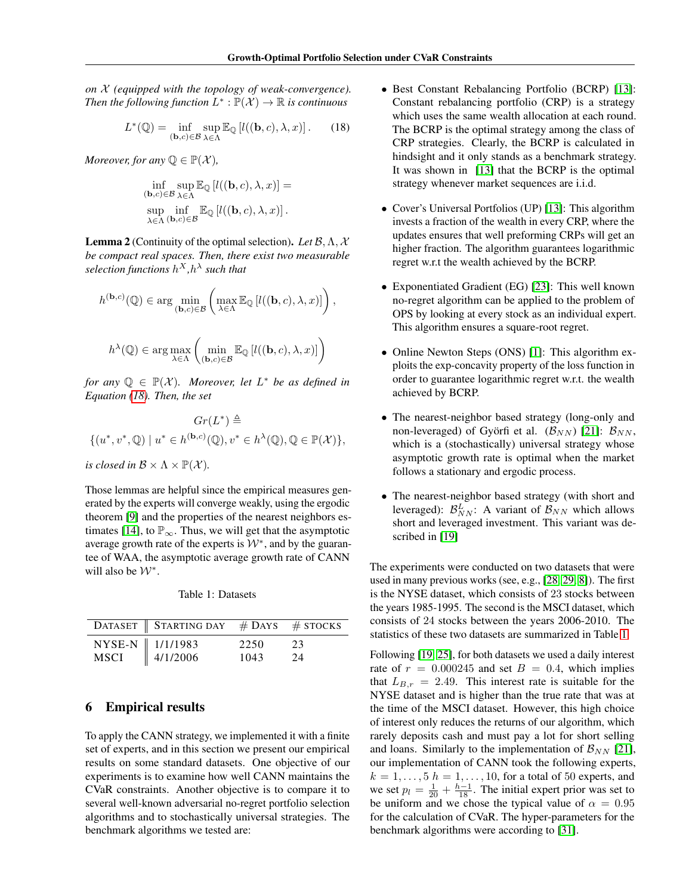*on* X *(equipped with the topology of weak-convergence).* Then the following function  $L^* : \mathbb{P}(\mathcal{X}) \to \mathbb{R}$  is continuous

$$
L^*(\mathbb{Q}) = \inf_{(\mathbf{b},c)\in\mathcal{B}} \sup_{\lambda \in \Lambda} \mathbb{E}_{\mathbb{Q}} \left[ l((\mathbf{b},c), \lambda, x) \right]. \tag{18}
$$

*Moreover, for any*  $\mathbb{Q} \in \mathbb{P}(\mathcal{X})$ *,* 

$$
\inf_{\substack{(\mathbf{b},c)\in\mathcal{B}\\ \sup_{\lambda\in\Lambda} \inf\limits_{\mathbf{b},c)\in\mathcal{B}}}\mathbb{E}_{\mathbb{Q}}\left[l((\mathbf{b},c),\lambda,x)\right]=\sup_{\lambda\in\Lambda} \inf\limits_{(\mathbf{b},c)\in\mathcal{B}}\mathbb{E}_{\mathbb{Q}}\left[l((\mathbf{b},c),\lambda,x)\right].
$$

Lemma 2 (Continuity of the optimal selection). *Let* B,Λ, X *be compact real spaces. Then, there exist two measurable* selection functions  $h^X,h^\lambda$  such that

$$
h^{(\mathbf{b},c)}(\mathbb{Q}) \in \arg\min_{(\mathbf{b},c)\in\mathcal{B}} \left( \max_{\lambda \in \Lambda} \mathbb{E}_{\mathbb{Q}} \left[ l((\mathbf{b},c),\lambda,x) \right] \right),
$$
  

$$
h^{\lambda}(\mathbb{Q}) \in \arg\max_{\lambda \in \Lambda} \left( \min_{(\mathbf{b},c)\in\mathcal{B}} \mathbb{E}_{\mathbb{Q}} \left[ l((\mathbf{b},c),\lambda,x) \right] \right)
$$

*for any*  $\mathbb{Q} \in \mathbb{P}(\mathcal{X})$ *. Moreover, let*  $L^*$  *be as defined in Equation [\(18\)](#page-5-0). Then, the set*

$$
Gr(L^*) \triangleq
$$
  

$$
\{(u^*, v^*, \mathbb{Q}) \mid u^* \in h^{(\mathbf{b}, c)}(\mathbb{Q}), v^* \in h^{\lambda}(\mathbb{Q}), \mathbb{Q} \in \mathbb{P}(\mathcal{X})\},\
$$

*is closed in*  $\mathcal{B} \times \Lambda \times \mathbb{P}(\mathcal{X})$ *.* 

Those lemmas are helpful since the empirical measures generated by the experts will converge weakly, using the ergodic theorem [\[9\]](#page-8-21) and the properties of the nearest neighbors es-timates [\[14\]](#page-8-8), to  $\mathbb{P}_{\infty}$ . Thus, we will get that the asymptotic average growth rate of the experts is  $W^*$ , and by the guarantee of WAA, the asymptotic average growth rate of CANN will also be  $W^*$ .

Table 1: Datasets

<span id="page-5-1"></span>

| DATASET STARTING DAY $#$ DAYS $#$ STOCKS |      |     |
|------------------------------------------|------|-----|
| NYSE-N 1/1/1983<br>MSCI 4/1/2006         | 2250 | -23 |
| $\parallel$ 4/1/2006                     | 1043 | 24  |

### 6 Empirical results

To apply the CANN strategy, we implemented it with a finite set of experts, and in this section we present our empirical results on some standard datasets. One objective of our experiments is to examine how well CANN maintains the CVaR constraints. Another objective is to compare it to several well-known adversarial no-regret portfolio selection algorithms and to stochastically universal strategies. The benchmark algorithms we tested are:

- <span id="page-5-0"></span>• Best Constant Rebalancing Portfolio (BCRP) [\[13\]](#page-8-0): Constant rebalancing portfolio (CRP) is a strategy which uses the same wealth allocation at each round. The BCRP is the optimal strategy among the class of CRP strategies. Clearly, the BCRP is calculated in hindsight and it only stands as a benchmark strategy. It was shown in [\[13\]](#page-8-0) that the BCRP is the optimal strategy whenever market sequences are i.i.d.
- Cover's Universal Portfolios (UP) [\[13\]](#page-8-0): This algorithm invests a fraction of the wealth in every CRP, where the updates ensures that well preforming CRPs will get an higher fraction. The algorithm guarantees logarithmic regret w.r.t the wealth achieved by the BCRP.
- Exponentiated Gradient (EG) [\[23\]](#page-8-10): This well known no-regret algorithm can be applied to the problem of OPS by looking at every stock as an individual expert. This algorithm ensures a square-root regret.
- Online Newton Steps (ONS) [\[1\]](#page-8-11): This algorithm exploits the exp-concavity property of the loss function in order to guarantee logarithmic regret w.r.t. the wealth achieved by BCRP.
- The nearest-neighbor based strategy (long-only and non-leveraged) of Györfi et al.  $(\mathcal{B}_{NN})$  [\[21\]](#page-8-5):  $\mathcal{B}_{NN}$ , which is a (stochastically) universal strategy whose asymptotic growth rate is optimal when the market follows a stationary and ergodic process.
- The nearest-neighbor based strategy (with short and leveraged):  $\mathcal{B}_{NN}^L$ : A variant of  $\mathcal{B}_{NN}$  which allows short and leveraged investment. This variant was de-scribed in [\[19\]](#page-8-15)

The experiments were conducted on two datasets that were used in many previous works (see, e.g., [\[28,](#page-9-8) [29,](#page-9-1) [8\]](#page-8-22)). The first is the NYSE dataset, which consists of 23 stocks between the years 1985-1995. The second is the MSCI dataset, which consists of 24 stocks between the years 2006-2010. The statistics of these two datasets are summarized in Table [1](#page-5-1)

Following [\[19,](#page-8-15) [25\]](#page-8-23), for both datasets we used a daily interest rate of  $r = 0.000245$  and set  $B = 0.4$ , which implies that  $L_{B,r} = 2.49$ . This interest rate is suitable for the NYSE dataset and is higher than the true rate that was at the time of the MSCI dataset. However, this high choice of interest only reduces the returns of our algorithm, which rarely deposits cash and must pay a lot for short selling and loans. Similarly to the implementation of  $\mathcal{B}_{NN}$  [\[21\]](#page-8-5), our implementation of CANN took the following experts,  $k = 1, \ldots, 5$   $h = 1, \ldots, 10$ , for a total of 50 experts, and we set  $p_l = \frac{1}{20} + \frac{h-1}{18}$ . The initial expert prior was set to be uniform and we chose the typical value of  $\alpha = 0.95$ for the calculation of CVaR. The hyper-parameters for the benchmark algorithms were according to [\[31\]](#page-9-13).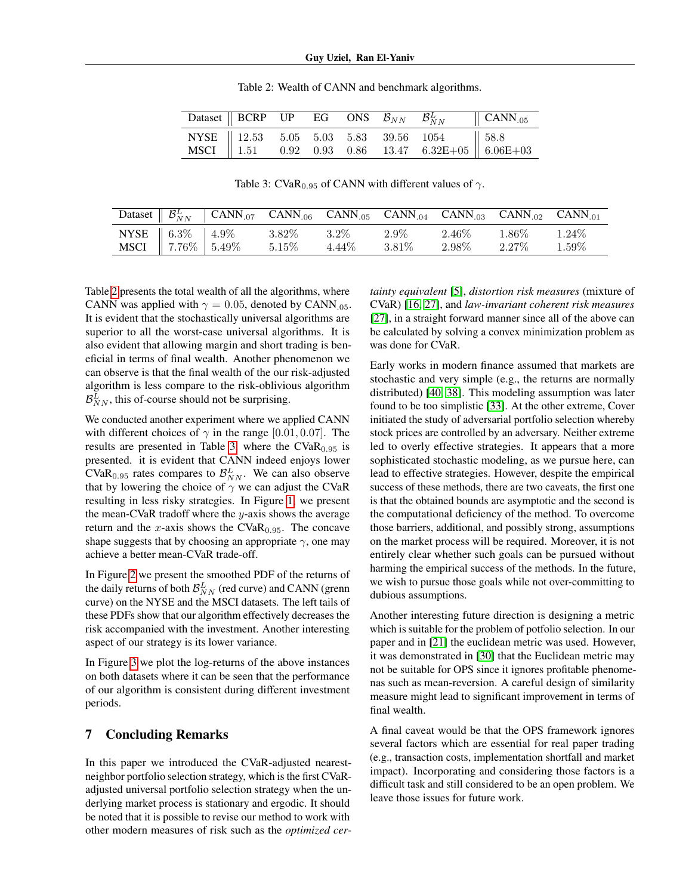<span id="page-6-0"></span>

|  |  |  | <b>Dataset BCRP</b> UP EG ONS $\mathcal{B}_{NN}$ $\mathcal{B}_{NN}^L$ <b>CANN</b> .05                                                                                                         |  |
|--|--|--|-----------------------------------------------------------------------------------------------------------------------------------------------------------------------------------------------|--|
|  |  |  | $\begin{array}{c cccccc} \text{NYSE} & 12.53 & 5.05 & 5.03 & 5.83 & 39.56 & 1054 \\ \text{MSCI} & 1.51 & 0.92 & 0.93 & 0.86 & 13.47 & 6.32 \text{E} + 05 & 6.06 \text{E} + 03 \\ \end{array}$ |  |
|  |  |  |                                                                                                                                                                                               |  |

Table 2: Wealth of CANN and benchmark algorithms.

Table 3: CVaR<sub>0.95</sub> of CANN with different values of  $\gamma$ .

<span id="page-6-1"></span>

|                                    | Dataset $\parallel \mathcal{B}_{NN}^L \parallel$ CANN <sub>.07</sub> CANN <sub>.06</sub> CANN <sub>.05</sub> CANN <sub>.04</sub> CANN <sub>.03</sub> CANN <sub>.02</sub> CANN <sub>.01</sub> |                  |          |         |                   |          |
|------------------------------------|----------------------------------------------------------------------------------------------------------------------------------------------------------------------------------------------|------------------|----------|---------|-------------------|----------|
|                                    |                                                                                                                                                                                              | $3.82\%$ $3.2\%$ |          | $2.9\%$ | $2.46\%$ $1.86\%$ | $1.24\%$ |
| NYSE 6.3% 4.9%<br>MSCI 7.76% 5.49% |                                                                                                                                                                                              | $5.15\%$         | $4.44\%$ | 3.81\%  | $2.98\%$ $2.27\%$ | $1.59\%$ |

Table [2](#page-6-0) presents the total wealth of all the algorithms, where CANN was applied with  $\gamma = 0.05$ , denoted by CANN<sub>.05</sub>. It is evident that the stochastically universal algorithms are superior to all the worst-case universal algorithms. It is also evident that allowing margin and short trading is beneficial in terms of final wealth. Another phenomenon we can observe is that the final wealth of the our risk-adjusted algorithm is less compare to the risk-oblivious algorithm  $\mathcal{B}_{NN}^L$ , this of-course should not be surprising.

We conducted another experiment where we applied CANN with different choices of  $\gamma$  in the range [0.01, 0.07]. The results are presented in Table [3,](#page-6-1) where the  $CVaR<sub>0.95</sub>$  is presented. it is evident that CANN indeed enjoys lower CVaR<sub>0.95</sub> rates compares to  $\mathcal{B}_{NN}^L$ . We can also observe that by lowering the choice of  $\gamma$  we can adjust the CVaR resulting in less risky strategies. In Figure [1,](#page-7-0) we present the mean-CVaR tradoff where the  $y$ -axis shows the average return and the x-axis shows the CVaR<sub>0.95</sub>. The concave shape suggests that by choosing an appropriate  $\gamma$ , one may achieve a better mean-CVaR trade-off.

In Figure [2](#page-7-1) we present the smoothed PDF of the returns of the daily returns of both  $\mathcal{B}_{NN}^L$  (red curve) and CANN (grenn curve) on the NYSE and the MSCI datasets. The left tails of these PDFs show that our algorithm effectively decreases the risk accompanied with the investment. Another interesting aspect of our strategy is its lower variance.

In Figure [3](#page-7-2) we plot the log-returns of the above instances on both datasets where it can be seen that the performance of our algorithm is consistent during different investment periods.

### 7 Concluding Remarks

In this paper we introduced the CVaR-adjusted nearestneighbor portfolio selection strategy, which is the first CVaRadjusted universal portfolio selection strategy when the underlying market process is stationary and ergodic. It should be noted that it is possible to revise our method to work with other modern measures of risk such as the *optimized cer-*

*tainty equivalent* [\[5\]](#page-8-24), *distortion risk measures* (mixture of CVaR) [\[16,](#page-8-25) [27\]](#page-9-14), and *law-invariant coherent risk measures* [\[27\]](#page-9-14), in a straight forward manner since all of the above can be calculated by solving a convex minimization problem as was done for CVaR.

Early works in modern finance assumed that markets are stochastic and very simple (e.g., the returns are normally distributed) [\[40,](#page-9-15) [38\]](#page-9-16). This modeling assumption was later found to be too simplistic [\[33\]](#page-9-4). At the other extreme, Cover initiated the study of adversarial portfolio selection whereby stock prices are controlled by an adversary. Neither extreme led to overly effective strategies. It appears that a more sophisticated stochastic modeling, as we pursue here, can lead to effective strategies. However, despite the empirical success of these methods, there are two caveats, the first one is that the obtained bounds are asymptotic and the second is the computational deficiency of the method. To overcome those barriers, additional, and possibly strong, assumptions on the market process will be required. Moreover, it is not entirely clear whether such goals can be pursued without harming the empirical success of the methods. In the future, we wish to pursue those goals while not over-committing to dubious assumptions.

Another interesting future direction is designing a metric which is suitable for the problem of potfolio selection. In our paper and in [\[21\]](#page-8-5) the euclidean metric was used. However, it was demonstrated in [\[30\]](#page-9-6) that the Euclidean metric may not be suitable for OPS since it ignores profitable phenomenas such as mean-reversion. A careful design of similarity measure might lead to significant improvement in terms of final wealth.

A final caveat would be that the OPS framework ignores several factors which are essential for real paper trading (e.g., transaction costs, implementation shortfall and market impact). Incorporating and considering those factors is a difficult task and still considered to be an open problem. We leave those issues for future work.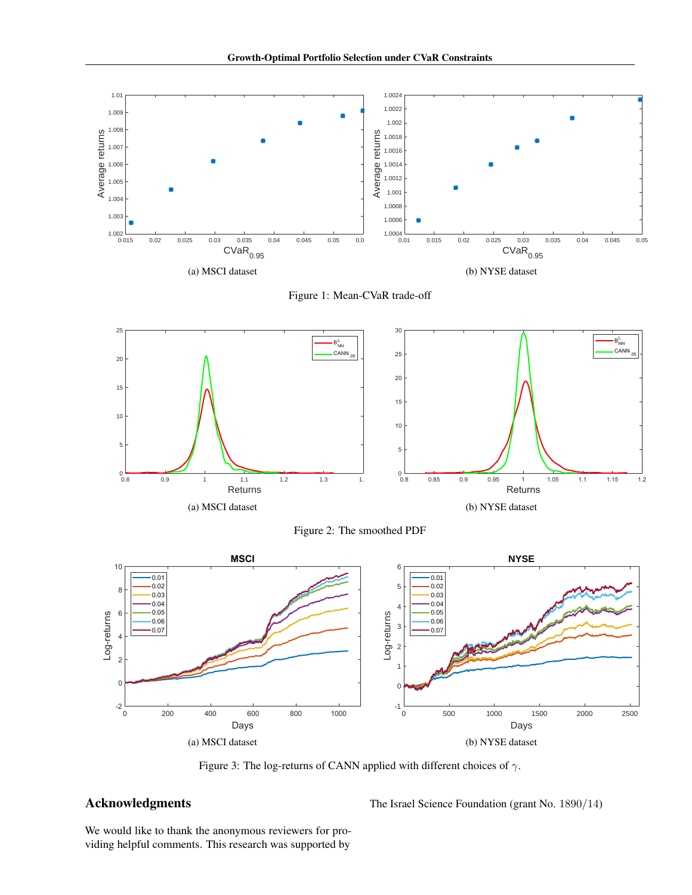<span id="page-7-0"></span>



<span id="page-7-1"></span>

Figure 2: The smoothed PDF

<span id="page-7-2"></span>

Figure 3: The log-returns of CANN applied with different choices of  $\gamma$ .

## Acknowledgments

The Israel Science Foundation (grant No. 1890/14)

We would like to thank the anonymous reviewers for providing helpful comments. This research was supported by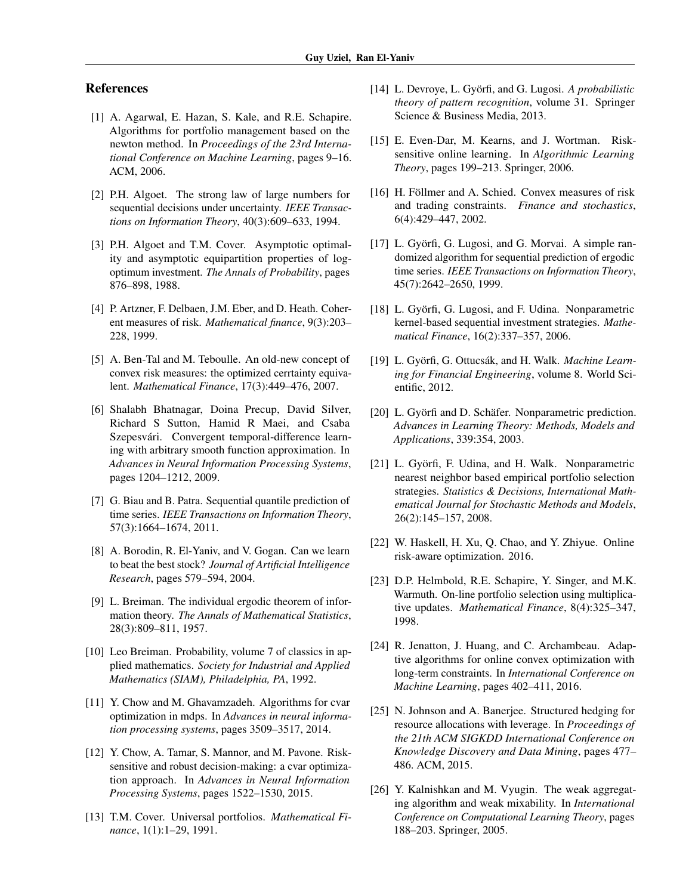### References

- <span id="page-8-11"></span>[1] A. Agarwal, E. Hazan, S. Kale, and R.E. Schapire. Algorithms for portfolio management based on the newton method. In *Proceedings of the 23rd International Conference on Machine Learning*, pages 9–16. ACM, 2006.
- <span id="page-8-18"></span>[2] P.H. Algoet. The strong law of large numbers for sequential decisions under uncertainty. *IEEE Transactions on Information Theory*, 40(3):609–633, 1994.
- <span id="page-8-4"></span>[3] P.H. Algoet and T.M. Cover. Asymptotic optimality and asymptotic equipartition properties of logoptimum investment. *The Annals of Probability*, pages 876–898, 1988.
- <span id="page-8-16"></span>[4] P. Artzner, F. Delbaen, J.M. Eber, and D. Heath. Coherent measures of risk. *Mathematical finance*, 9(3):203– 228, 1999.
- <span id="page-8-24"></span>[5] A. Ben-Tal and M. Teboulle. An old-new concept of convex risk measures: the optimized cerrtainty equivalent. *Mathematical Finance*, 17(3):449–476, 2007.
- <span id="page-8-12"></span>[6] Shalabh Bhatnagar, Doina Precup, David Silver, Richard S Sutton, Hamid R Maei, and Csaba Szepesvári. Convergent temporal-difference learning with arbitrary smooth function approximation. In *Advances in Neural Information Processing Systems*, pages 1204–1212, 2009.
- <span id="page-8-20"></span>[7] G. Biau and B. Patra. Sequential quantile prediction of time series. *IEEE Transactions on Information Theory*, 57(3):1664–1674, 2011.
- <span id="page-8-22"></span>[8] A. Borodin, R. El-Yaniv, and V. Gogan. Can we learn to beat the best stock? *Journal of Artificial Intelligence Research*, pages 579–594, 2004.
- <span id="page-8-21"></span>[9] L. Breiman. The individual ergodic theorem of information theory. *The Annals of Mathematical Statistics*, 28(3):809–811, 1957.
- <span id="page-8-17"></span>[10] Leo Breiman. Probability, volume 7 of classics in applied mathematics. *Society for Industrial and Applied Mathematics (SIAM), Philadelphia, PA*, 1992.
- <span id="page-8-13"></span>[11] Y. Chow and M. Ghavamzadeh. Algorithms for cvar optimization in mdps. In *Advances in neural information processing systems*, pages 3509–3517, 2014.
- <span id="page-8-14"></span>[12] Y. Chow, A. Tamar, S. Mannor, and M. Pavone. Risksensitive and robust decision-making: a cvar optimization approach. In *Advances in Neural Information Processing Systems*, pages 1522–1530, 2015.
- <span id="page-8-0"></span>[13] T.M. Cover. Universal portfolios. *Mathematical Finance*, 1(1):1–29, 1991.
- <span id="page-8-8"></span>[14] L. Devroye, L. Györfi, and G. Lugosi. *A probabilistic theory of pattern recognition*, volume 31. Springer Science & Business Media, 2013.
- <span id="page-8-1"></span>[15] E. Even-Dar, M. Kearns, and J. Wortman. Risksensitive online learning. In *Algorithmic Learning Theory*, pages 199–213. Springer, 2006.
- <span id="page-8-25"></span>[16] H. Föllmer and A. Schied. Convex measures of risk and trading constraints. *Finance and stochastics*, 6(4):429–447, 2002.
- <span id="page-8-9"></span>[17] L. Györfi, G. Lugosi, and G. Morvai. A simple randomized algorithm for sequential prediction of ergodic time series. *IEEE Transactions on Information Theory*, 45(7):2642–2650, 1999.
- <span id="page-8-7"></span>[18] L. Györfi, G. Lugosi, and F. Udina. Nonparametric kernel-based sequential investment strategies. *Mathematical Finance*, 16(2):337–357, 2006.
- <span id="page-8-15"></span>[19] L. Györfi, G. Ottucsák, and H. Walk. *Machine Learning for Financial Engineering*, volume 8. World Scientific, 2012.
- <span id="page-8-6"></span>[20] L. Györfi and D. Schäfer. Nonparametric prediction. *Advances in Learning Theory: Methods, Models and Applications*, 339:354, 2003.
- <span id="page-8-5"></span>[21] L. Györfi, F. Udina, and H. Walk. Nonparametric nearest neighbor based empirical portfolio selection strategies. *Statistics & Decisions, International Mathematical Journal for Stochastic Methods and Models*, 26(2):145–157, 2008.
- <span id="page-8-2"></span>[22] W. Haskell, H. Xu, Q. Chao, and Y. Zhiyue. Online risk-aware optimization. 2016.
- <span id="page-8-10"></span>[23] D.P. Helmbold, R.E. Schapire, Y. Singer, and M.K. Warmuth. On-line portfolio selection using multiplicative updates. *Mathematical Finance*, 8(4):325–347, 1998.
- <span id="page-8-3"></span>[24] R. Jenatton, J. Huang, and C. Archambeau. Adaptive algorithms for online convex optimization with long-term constraints. In *International Conference on Machine Learning*, pages 402–411, 2016.
- <span id="page-8-23"></span>[25] N. Johnson and A. Banerjee. Structured hedging for resource allocations with leverage. In *Proceedings of the 21th ACM SIGKDD International Conference on Knowledge Discovery and Data Mining*, pages 477– 486. ACM, 2015.
- <span id="page-8-19"></span>[26] Y. Kalnishkan and M. Vyugin. The weak aggregating algorithm and weak mixability. In *International Conference on Computational Learning Theory*, pages 188–203. Springer, 2005.